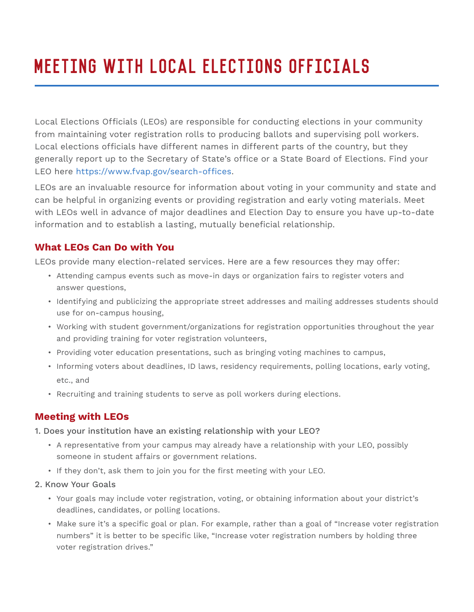# Meeting with Local Elections Officials

Local Elections Officials (LEOs) are responsible for conducting elections in your community from maintaining voter registration rolls to producing ballots and supervising poll workers. Local elections officials have different names in different parts of the country, but they generally report up to the Secretary of State's office or a State Board of Elections. Find your LEO here https://www.fvap.gov/search-offices.

LEOs are an invaluable resource for information about voting in your community and state and can be helpful in organizing events or providing registration and early voting materials. Meet with LEOs well in advance of major deadlines and Election Day to ensure you have up-to-date information and to establish a lasting, mutually beneficial relationship.

## **What LEOs Can Do with You**

LEOs provide many election-related services. Here are a few resources they may offer:

- Attending campus events such as move-in days or organization fairs to register voters and answer questions,
- Identifying and publicizing the appropriate street addresses and mailing addresses students should use for on-campus housing,
- Working with student government/organizations for registration opportunities throughout the year and providing training for voter registration volunteers,
- Providing voter education presentations, such as bringing voting machines to campus,
- Informing voters about deadlines, ID laws, residency requirements, polling locations, early voting, etc., and
- Recruiting and training students to serve as poll workers during elections.

## **Meeting with LEOs**

1. Does your institution have an existing relationship with your LEO?

- A representative from your campus may already have a relationship with your LEO, possibly someone in student affairs or government relations.
- If they don't, ask them to join you for the first meeting with your LEO.
- 2. Know Your Goals
	- Your goals may include voter registration, voting, or obtaining information about your district's deadlines, candidates, or polling locations.
	- Make sure it's a specific goal or plan. For example, rather than a goal of "Increase voter registration numbers" it is better to be specific like, "Increase voter registration numbers by holding three voter registration drives."